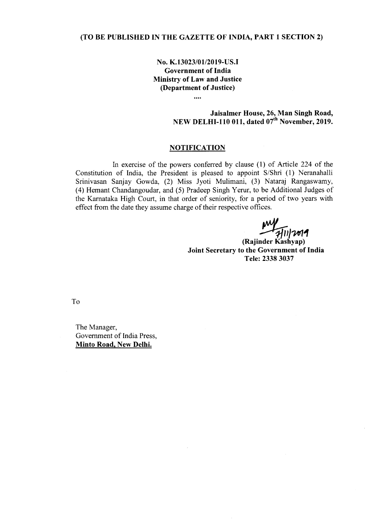## (TO BE PUBLISHED IN THE GAZETTE OF INDIA, PART 1 SECTION 2)

No. K.13023/01/2019-US.I Government of India Ministry of Law and Justice (Department of Justice)

 $\cdots$ 

# Jaisalmer House, 26, Man Singh Road, NEW DELHI-110 011, dated  $07<sup>th</sup>$  November, 2019.

### **NOTIFICATION**

In exercise of the powers conferred by clause (1) of Article 224 of the Constitution of India, the President is pleased to appoint S/Shri (1) Neranahalli Srinivasan Sanjay Gowda, (2) Miss Jyoti Mulimani, (3) Nataraj Rangaswamy, (4) Hemant Chandangoudar, and (5) Pradeep Singh Yerur, to be Additional Judges of the Kamataka High Court, in that order of seniority, for a period of two years with effect from the date they assume charge of their respective offices.

*~/?¥I"I*

(Rajinder Kashyap) Joint Secretary to the Government of India Tele: 23383037

To

The Manager, Government of India Press, Minto Road, New Delhi.